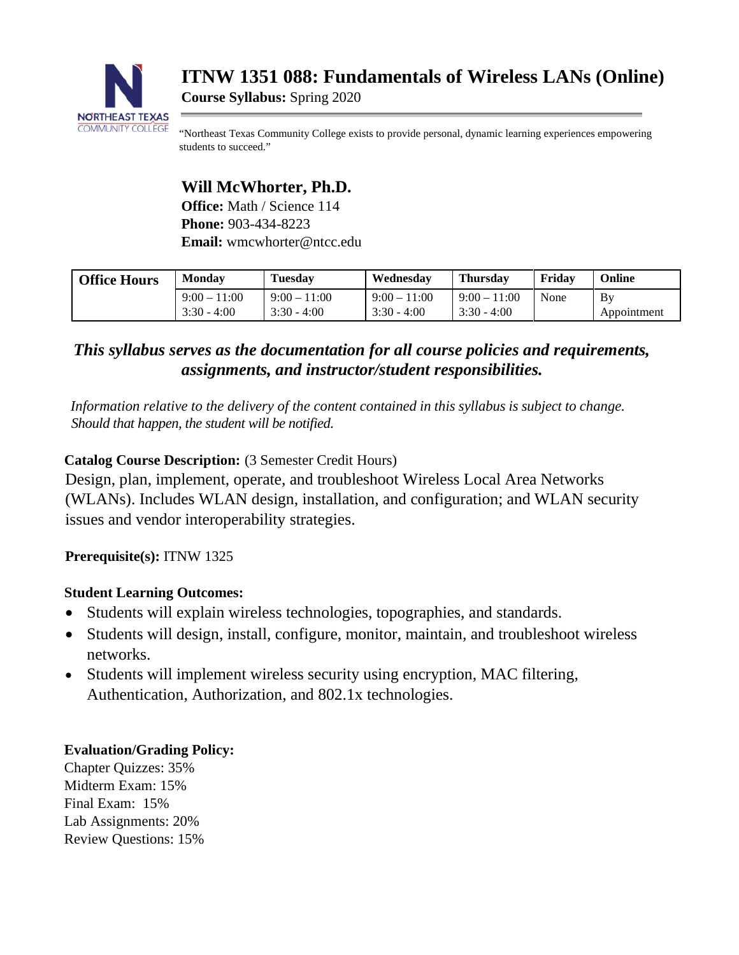

**ITNW 1351 088: Fundamentals of Wireless LANs (Online)**

**Course Syllabus:** Spring 2020

"Northeast Texas Community College exists to provide personal, dynamic learning experiences empowering students to succeed."

# **Will McWhorter, Ph.D.**

**Office:** Math / Science 114 **Phone:** 903-434-8223 **Email:** wmcwhorter@ntcc.edu

| <b>Office Hours</b> | <b>Monday</b>  | <b>Tuesday</b> | Wednesday      | <b>Thursday</b> | Fridav | Online      |
|---------------------|----------------|----------------|----------------|-----------------|--------|-------------|
|                     | $9:00 - 11:00$ | $9:00 - 11:00$ | $9:00 - 11:00$ | $9:00 - 11:00$  | None   | By          |
|                     | $3:30 - 4:00$  | $3:30 - 4:00$  | $3:30 - 4:00$  | $3:30 - 4:00$   |        | Appointment |

## *This syllabus serves as the documentation for all course policies and requirements, assignments, and instructor/student responsibilities.*

*Information relative to the delivery of the content contained in this syllabus is subject to change. Should that happen, the student will be notified.*

## **Catalog Course Description:** (3 Semester Credit Hours)

Design, plan, implement, operate, and troubleshoot Wireless Local Area Networks (WLANs). Includes WLAN design, installation, and configuration; and WLAN security issues and vendor interoperability strategies.

**Prerequisite(s):** ITNW 1325

## **Student Learning Outcomes:**

- Students will explain wireless technologies, topographies, and standards.
- Students will design, install, configure, monitor, maintain, and troubleshoot wireless networks.
- Students will implement wireless security using encryption, MAC filtering, Authentication, Authorization, and 802.1x technologies.

## **Evaluation/Grading Policy:**

Chapter Quizzes: 35% Midterm Exam: 15% Final Exam: 15% Lab Assignments: 20% Review Questions: 15%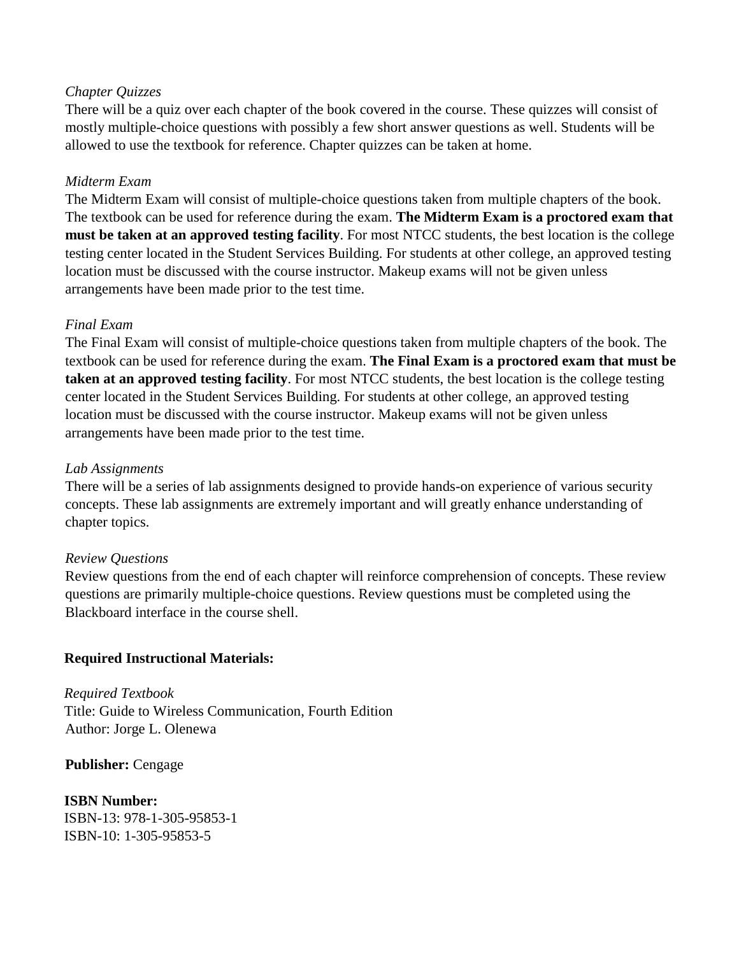## *Chapter Quizzes*

There will be a quiz over each chapter of the book covered in the course. These quizzes will consist of mostly multiple-choice questions with possibly a few short answer questions as well. Students will be allowed to use the textbook for reference. Chapter quizzes can be taken at home.

## *Midterm Exam*

The Midterm Exam will consist of multiple-choice questions taken from multiple chapters of the book. The textbook can be used for reference during the exam. **The Midterm Exam is a proctored exam that must be taken at an approved testing facility**. For most NTCC students, the best location is the college testing center located in the Student Services Building. For students at other college, an approved testing location must be discussed with the course instructor. Makeup exams will not be given unless arrangements have been made prior to the test time.

## *Final Exam*

The Final Exam will consist of multiple-choice questions taken from multiple chapters of the book. The textbook can be used for reference during the exam. **The Final Exam is a proctored exam that must be taken at an approved testing facility**. For most NTCC students, the best location is the college testing center located in the Student Services Building. For students at other college, an approved testing location must be discussed with the course instructor. Makeup exams will not be given unless arrangements have been made prior to the test time.

## *Lab Assignments*

There will be a series of lab assignments designed to provide hands-on experience of various security concepts. These lab assignments are extremely important and will greatly enhance understanding of chapter topics.

#### *Review Questions*

Review questions from the end of each chapter will reinforce comprehension of concepts. These review questions are primarily multiple-choice questions. Review questions must be completed using the Blackboard interface in the course shell.

## **Required Instructional Materials:**

*Required Textbook*  Title: Guide to Wireless Communication, Fourth Edition Author: Jorge L. Olenewa

#### **Publisher:** Cengage

## **ISBN Number:**  ISBN-13: 978-1-305-95853-1

ISBN-10: 1-305-95853-5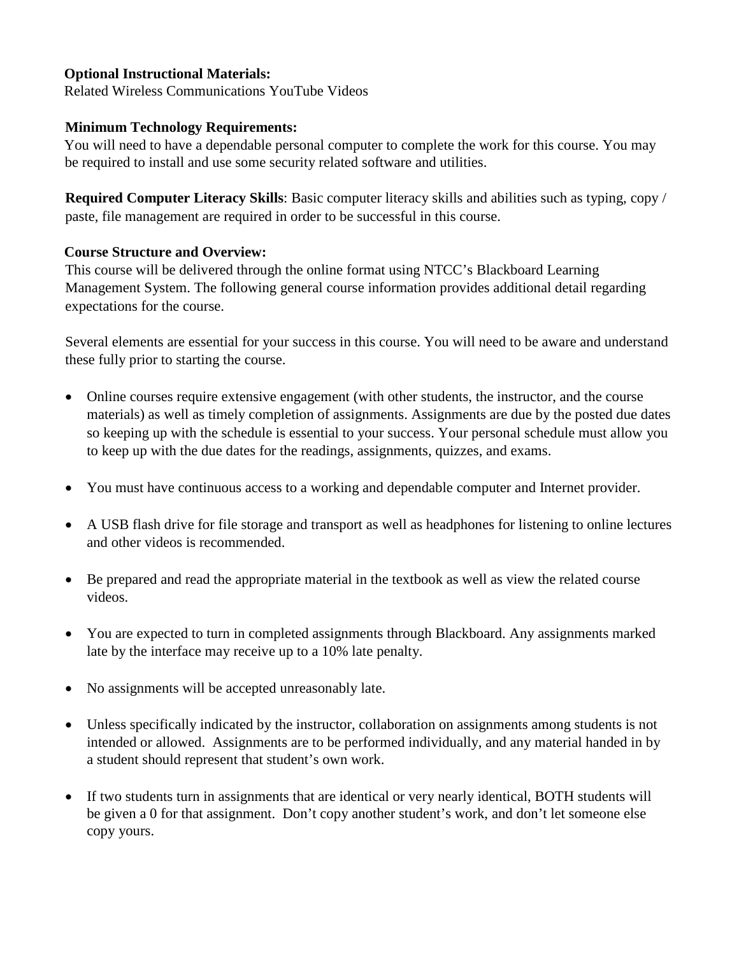## **Optional Instructional Materials:**

Related Wireless Communications YouTube Videos

## **Minimum Technology Requirements:**

You will need to have a dependable personal computer to complete the work for this course. You may be required to install and use some security related software and utilities.

**Required Computer Literacy Skills**: Basic computer literacy skills and abilities such as typing, copy / paste, file management are required in order to be successful in this course.

## **Course Structure and Overview:**

This course will be delivered through the online format using NTCC's Blackboard Learning Management System. The following general course information provides additional detail regarding expectations for the course.

Several elements are essential for your success in this course. You will need to be aware and understand these fully prior to starting the course.

- Online courses require extensive engagement (with other students, the instructor, and the course materials) as well as timely completion of assignments. Assignments are due by the posted due dates so keeping up with the schedule is essential to your success. Your personal schedule must allow you to keep up with the due dates for the readings, assignments, quizzes, and exams.
- You must have continuous access to a working and dependable computer and Internet provider.
- A USB flash drive for file storage and transport as well as headphones for listening to online lectures and other videos is recommended.
- Be prepared and read the appropriate material in the textbook as well as view the related course videos.
- You are expected to turn in completed assignments through Blackboard. Any assignments marked late by the interface may receive up to a 10% late penalty.
- No assignments will be accepted unreasonably late.
- Unless specifically indicated by the instructor, collaboration on assignments among students is not intended or allowed. Assignments are to be performed individually, and any material handed in by a student should represent that student's own work.
- If two students turn in assignments that are identical or very nearly identical, BOTH students will be given a 0 for that assignment. Don't copy another student's work, and don't let someone else copy yours.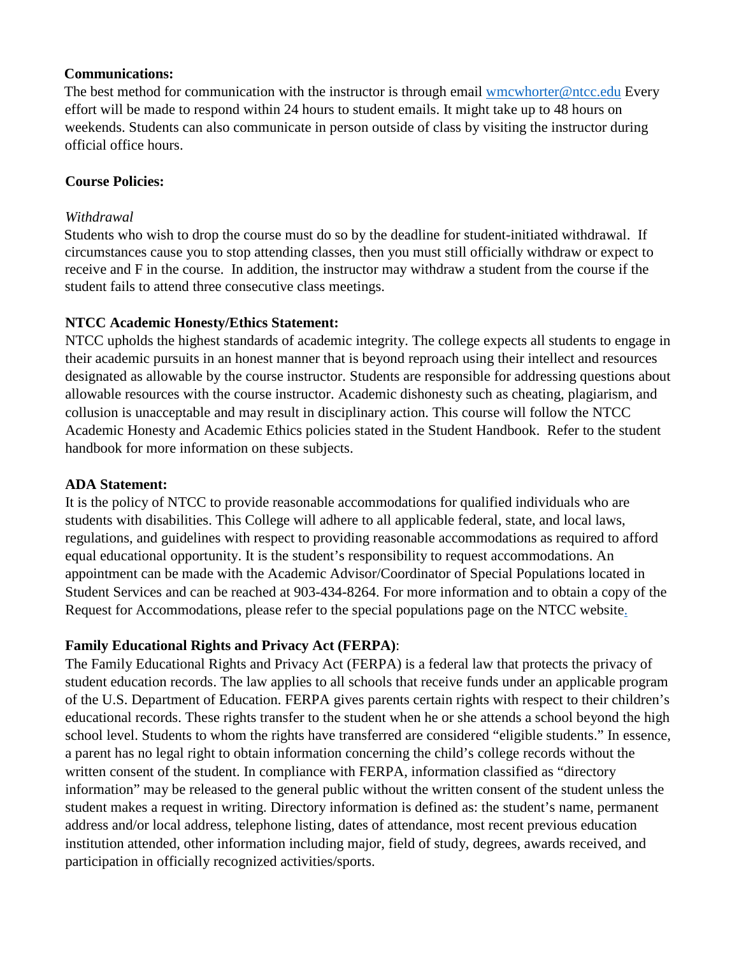## **Communications:**

The best method for communication with the instructor is through email wmcwhorter@ntcc.edu Every effort will be made to respond within 24 hours to student emails. It might take up to 48 hours on weekends. Students can also communicate in person outside of class by visiting the instructor during official office hours.

## **Course Policies:**

## *Withdrawal*

Students who wish to drop the course must do so by the deadline for student-initiated withdrawal. If circumstances cause you to stop attending classes, then you must still officially withdraw or expect to receive and F in the course. In addition, the instructor may withdraw a student from the course if the student fails to attend three consecutive class meetings.

## **NTCC Academic Honesty/Ethics Statement:**

NTCC upholds the highest standards of academic integrity. The college expects all students to engage in their academic pursuits in an honest manner that is beyond reproach using their intellect and resources designated as allowable by the course instructor. Students are responsible for addressing questions about allowable resources with the course instructor. Academic dishonesty such as cheating, plagiarism, and collusion is unacceptable and may result in disciplinary action. This course will follow the NTCC Academic Honesty and Academic Ethics policies stated in the Student Handbook. Refer to the student handbook for more information on these subjects.

#### **ADA Statement:**

It is the policy of NTCC to provide reasonable accommodations for qualified individuals who are students with disabilities. This College will adhere to all applicable federal, state, and local laws, regulations, and guidelines with respect to providing reasonable accommodations as required to afford equal educational opportunity. It is the student's responsibility to request accommodations. An appointment can be made with the Academic Advisor/Coordinator of Special Populations located in Student Services and can be reached at 903-434-8264. For more information and to obtain a copy of the Request for Accommodations, please refer to the special populations page on the NTCC website.

## **Family Educational Rights and Privacy Act (FERPA)**:

The Family Educational Rights and Privacy Act (FERPA) is a federal law that protects the privacy of student education records. The law applies to all schools that receive funds under an applicable program of the U.S. Department of Education. FERPA gives parents certain rights with respect to their children's educational records. These rights transfer to the student when he or she attends a school beyond the high school level. Students to whom the rights have transferred are considered "eligible students." In essence, a parent has no legal right to obtain information concerning the child's college records without the written consent of the student. In compliance with FERPA, information classified as "directory information" may be released to the general public without the written consent of the student unless the student makes a request in writing. Directory information is defined as: the student's name, permanent address and/or local address, telephone listing, dates of attendance, most recent previous education institution attended, other information including major, field of study, degrees, awards received, and participation in officially recognized activities/sports.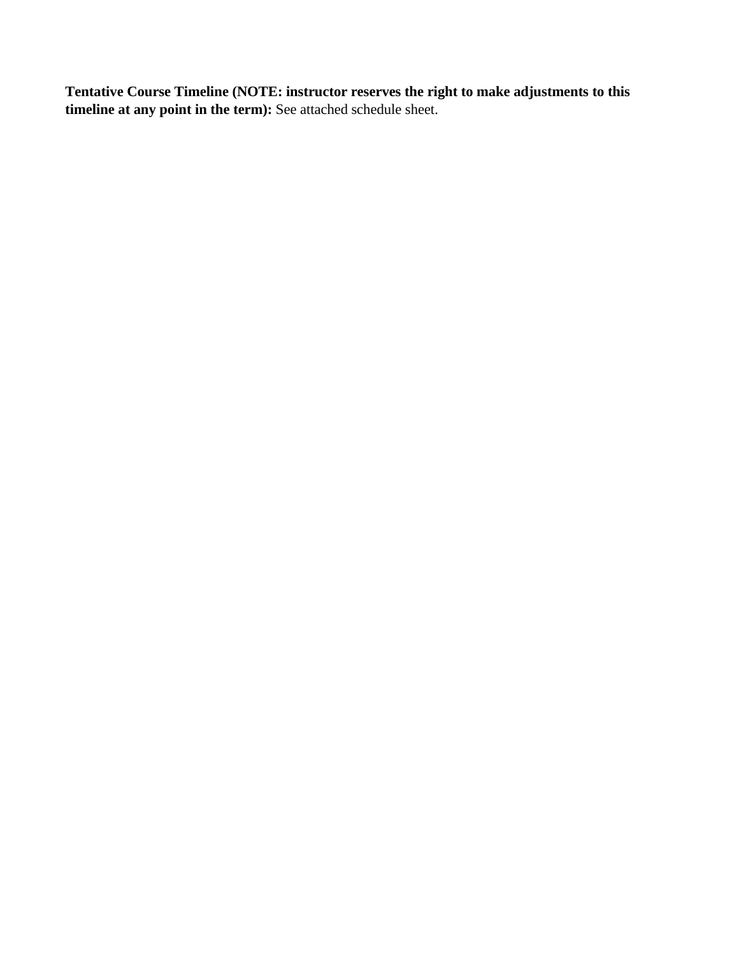**Tentative Course Timeline (NOTE: instructor reserves the right to make adjustments to this**  timeline at any point in the term): See attached schedule sheet.